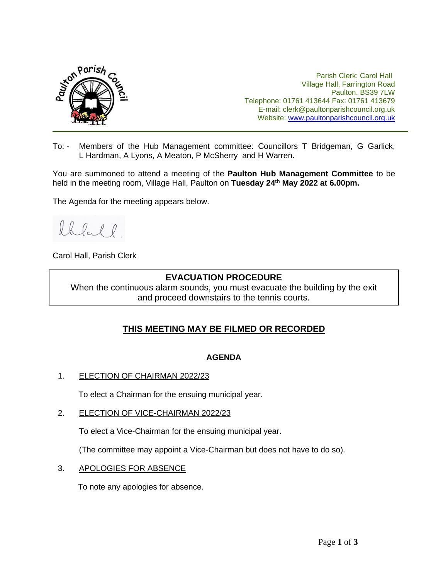

Parish Clerk: Carol Hall Village Hall, Farrington Road Paulton. BS39 7LW Telephone: 01761 413644 Fax: 01761 413679 E-mail: clerk@paultonparishcouncil.org.uk Website: [www.paultonparishcouncil.org.uk](http://www.paultonparishcouncil.org.uk/)

To: - Members of the Hub Management committee: Councillors T Bridgeman, G Garlick, L Hardman, A Lyons, A Meaton, P McSherry and H Warren**.**

You are summoned to attend a meeting of the **Paulton Hub Management Committee** to be held in the meeting room, Village Hall, Paulton on **Tuesday 24th May 2022 at 6.00pm.** 

The Agenda for the meeting appears below.

lhell

Carol Hall, Parish Clerk

# **EVACUATION PROCEDURE**

When the continuous alarm sounds, you must evacuate the building by the exit and proceed downstairs to the tennis courts.

# **THIS MEETING MAY BE FILMED OR RECORDED**

### **AGENDA**

1. ELECTION OF CHAIRMAN 2022/23

To elect a Chairman for the ensuing municipal year.

2. ELECTION OF VICE-CHAIRMAN 2022/23

To elect a Vice-Chairman for the ensuing municipal year.

(The committee may appoint a Vice-Chairman but does not have to do so).

3. APOLOGIES FOR ABSENCE

To note any apologies for absence.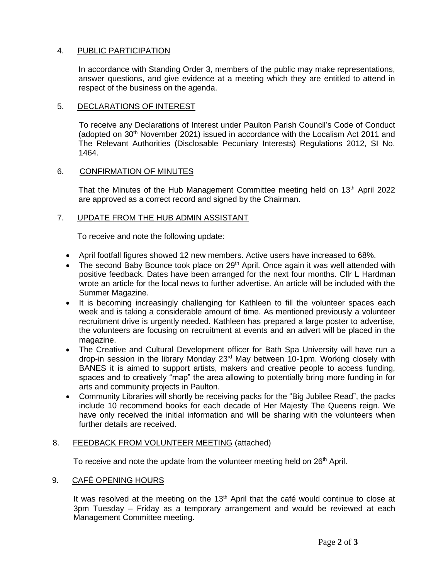# 4. PUBLIC PARTICIPATION

In accordance with Standing Order 3, members of the public may make representations, answer questions, and give evidence at a meeting which they are entitled to attend in respect of the business on the agenda.

### 5. DECLARATIONS OF INTEREST

 To receive any Declarations of Interest under Paulton Parish Council's Code of Conduct (adopted on  $30<sup>th</sup>$  November 2021) issued in accordance with the Localism Act 2011 and The Relevant Authorities (Disclosable Pecuniary Interests) Regulations 2012, SI No. 1464.

#### 6. CONFIRMATION OF MINUTES

That the Minutes of the Hub Management Committee meeting held on 13<sup>th</sup> April 2022 are approved as a correct record and signed by the Chairman.

#### 7. UPDATE FROM THE HUB ADMIN ASSISTANT

To receive and note the following update:

- April footfall figures showed 12 new members. Active users have increased to 68%.
- The second Baby Bounce took place on 29<sup>th</sup> April. Once again it was well attended with positive feedback. Dates have been arranged for the next four months. Cllr L Hardman wrote an article for the local news to further advertise. An article will be included with the Summer Magazine.
- It is becoming increasingly challenging for Kathleen to fill the volunteer spaces each week and is taking a considerable amount of time. As mentioned previously a volunteer recruitment drive is urgently needed. Kathleen has prepared a large poster to advertise, the volunteers are focusing on recruitment at events and an advert will be placed in the magazine.
- The Creative and Cultural Development officer for Bath Spa University will have run a drop-in session in the library Monday 23rd May between 10-1pm. Working closely with BANES it is aimed to support artists, makers and creative people to access funding, spaces and to creatively "map" the area allowing to potentially bring more funding in for arts and community projects in Paulton.
- Community Libraries will shortly be receiving packs for the "Big Jubilee Read", the packs include 10 recommend books for each decade of Her Majesty The Queens reign. We have only received the initial information and will be sharing with the volunteers when further details are received.

### 8. FEEDBACK FROM VOLUNTEER MEETING (attached)

To receive and note the update from the volunteer meeting held on 26<sup>th</sup> April.

#### 9. CAFÉ OPENING HOURS

It was resolved at the meeting on the 13<sup>th</sup> April that the café would continue to close at 3pm Tuesday – Friday as a temporary arrangement and would be reviewed at each Management Committee meeting.